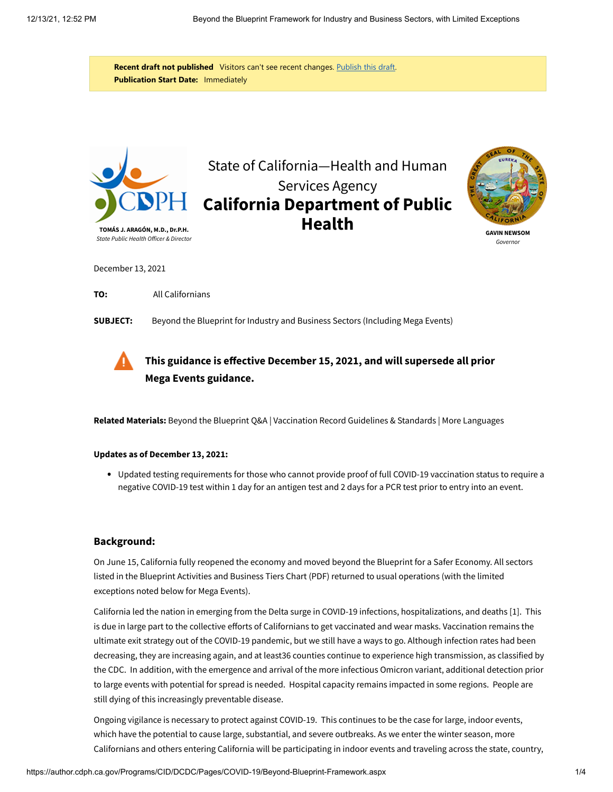**Recent draft not published** Visitors can't see recent changes. [Publish this draft.](javascript:{}) **Publication Start Date:** Immediately



# State of California—Health and Human Services Agency **California Department of Public Health**



**GAVIN NEWSOM** Governo.

December 13, 2021

**TO:** All Californians

**SUBJECT:** Beyond the Blueprint for Industry and Business Sectors (Including Mega Events)



## **This guidance is effective December 15, 2021, and will [supersede](https://author.cdph.ca.gov/Programs/CID/DCDC/Pages/COVID-19/Beyond-Blueprint-Framework-11-18-2021.aspx) all prior Mega Events guidance.**

**Related Materials:** [Beyond the Blueprint Q&A](https://author.cdph.ca.gov/Programs/CID/DCDC/Pages/COVID-19/Beyond-Blueprint-QA.aspx) | [Vaccination Record Guidelines & Standards](https://author.cdph.ca.gov/Programs/CID/DCDC/Pages/COVID-19/Vaccine-Record-Guidelines-Standards.aspx) | [More Languages](https://author.cdph.ca.gov/Programs/CID/DCDC/Pages/COVID-19/COVID19MultilingualDocuments.aspx)

#### **Updates as of December 13, 2021:**

Updated testing requirements for those who cannot provide proof of full COVID-19 vaccination status to require a negative COVID-19 test within 1 day for an antigen test and 2 days for a PCR test prior to entry into an event.

#### **Background:**

On June 15, California fully reopened the economy and moved beyond the Blueprint for a Safer Economy. All sectors listed in the [Blueprint Activities and Business Tiers Chart](https://author.cdph.ca.gov/Programs/CID/DCDC/CDPH%20Document%20Library/COVID-19/Dimmer-Framework-September_2020.pdf) (PDF) returned to usual operations (with the limited exceptions noted below for Mega Events).

California led the nation in emerging from the Delta surge in COVID-19 infections, hospitalizations, and deaths [\[1\]](#page-3-0). This is due in large part to the collective efforts of Californians to get vaccinated and wear masks. Vaccination remains the ultimate exit strategy out of the COVID-19 pandemic, but we still have a ways to go. Although infection rates had been decreasing, they are increasing again, and at least36 counties continue to experience high transmission, as classified by [the CDC. In addition, with the emergence and arrival of the more infectious Omicron variant, additional detection prior](https://covid.cdc.gov/covid-data-tracker/#county-view) to large events with potential for spread is needed. Hospital capacity remains impacted in some regions. People are still dying of this increasingly preventable disease.

Ongoing vigilance is necessary to protect against COVID-19. This continues to be the case for large, indoor events, which have the potential to cause large, substantial, and severe outbreaks. As we enter the winter season, more Californians and others entering California will be participating in indoor events and traveling across the state, country,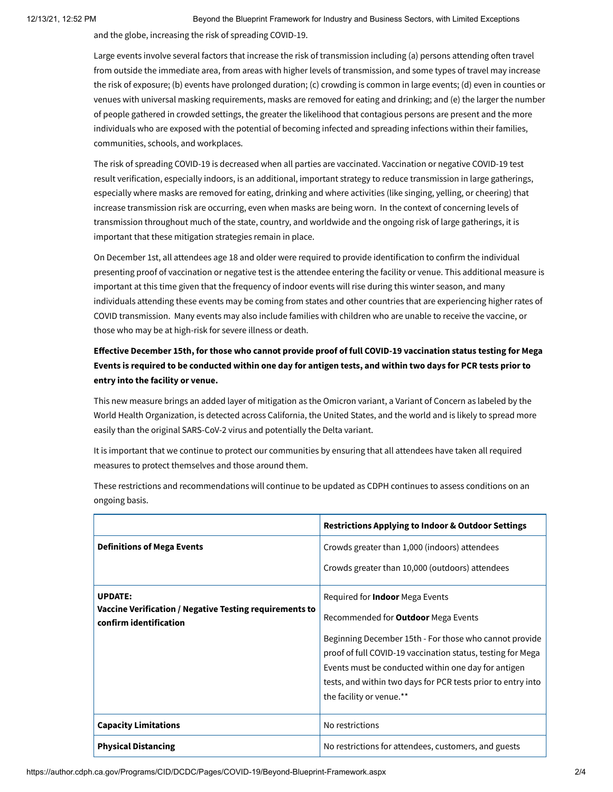12/13/21, 12:52 PM Beyond the Blueprint Framework for Industry and Business Sectors, with Limited Exceptions

and the globe, increasing the risk of spreading COVID-19.

Large events involve several factors that increase the risk of transmission including (a) persons attending often travel from outside the immediate area, from areas with higher levels of transmission, and some types of travel may increase the risk of exposure; (b) events have prolonged duration; (c) crowding is common in large events; (d) even in counties or venues with universal masking requirements, masks are removed for eating and drinking; and (e) the larger the number of people gathered in crowded settings, the greater the likelihood that contagious persons are present and the more individuals who are exposed with the potential of becoming infected and spreading infections within their families, communities, schools, and workplaces.

The risk of spreading COVID-19 is decreased when all parties are vaccinated. Vaccination or negative COVID-19 test result verification, especially indoors, is an additional, important strategy to reduce transmission in large gatherings, especially where masks are removed for eating, drinking and where activities (like singing, yelling, or cheering) that increase transmission risk are occurring, even when masks are being worn. In the context of concerning levels of transmission throughout much of the state, country, and worldwide and the ongoing risk of large gatherings, it is important that these mitigation strategies remain in place.

On December 1st, all attendees age 18 and older were required to provide identification to confirm the individual presenting proof of vaccination or negative test is the attendee entering the facility or venue. This additional measure is important at this time given that the frequency of indoor events will rise during this winter season, and many individuals attending these events may be coming from states and other countries that are experiencing higher rates of COVID transmission. Many events may also include families with children who are unable to receive the vaccine, or those who may be at high-risk for severe illness or death.

## **Effective December 15th, for those who cannot provide proof of full COVID-19 vaccination status testing for Mega Events is required to be conducted within one day for antigen tests, and within two days for PCR tests prior to entry into the facility or venue.**

This new measure brings an added layer of mitigation as the Omicron variant, a Variant of Concern as labeled by the World Health Organization, is detected across California, the United States, and the world and is likely to spread more easily than the original SARS-CoV-2 virus and potentially the Delta variant.

It is important that we continue to protect our communities by ensuring that all attendees have taken all required measures to protect themselves and those around them.

These restrictions and recommendations will continue to be updated as CDPH continues to assess conditions on an ongoing basis.

|                                                                                   | <b>Restrictions Applying to Indoor &amp; Outdoor Settings</b> |
|-----------------------------------------------------------------------------------|---------------------------------------------------------------|
| <b>Definitions of Mega Events</b>                                                 | Crowds greater than 1,000 (indoors) attendees                 |
|                                                                                   | Crowds greater than 10,000 (outdoors) attendees               |
| <b>UPDATE:</b>                                                                    | Required for <b>Indoor</b> Mega Events                        |
| Vaccine Verification / Negative Testing requirements to<br>confirm identification | Recommended for <b>Outdoor</b> Mega Events                    |
|                                                                                   | Beginning December 15th - For those who cannot provide        |
|                                                                                   | proof of full COVID-19 vaccination status, testing for Mega   |
|                                                                                   | Events must be conducted within one day for antigen           |
|                                                                                   | tests, and within two days for PCR tests prior to entry into  |
|                                                                                   | the facility or venue.**                                      |
| <b>Capacity Limitations</b>                                                       | No restrictions                                               |
| <b>Physical Distancing</b>                                                        | No restrictions for attendees, customers, and guests          |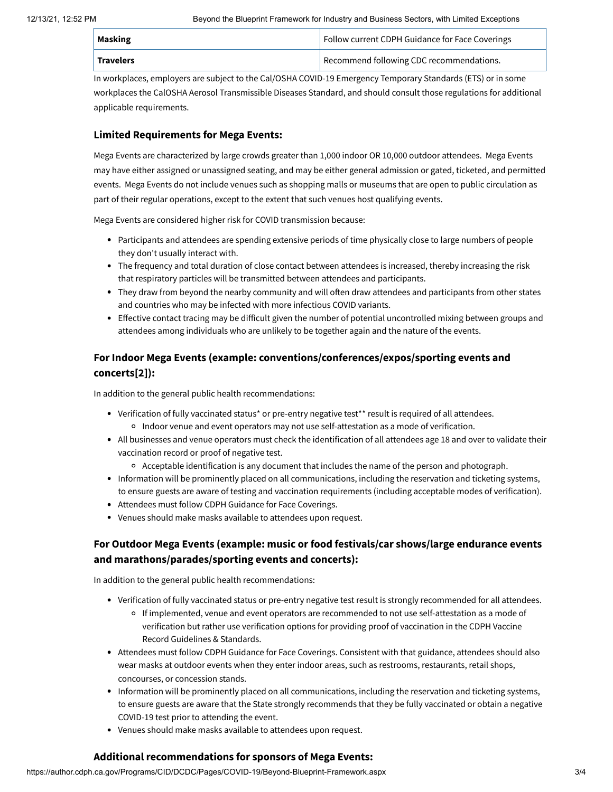| Masking   | Follow current CDPH Guidance for Face Coverings |
|-----------|-------------------------------------------------|
| Travelers | Recommend following CDC recommendations.        |

In workplaces, employers are subject to the Cal/OSHA COVID-19 Emergency Temporary Standards (ETS) or in some workplaces the CalOSHA Aerosol Transmissible Diseases Standard, and should consult those regulations for additional applicable requirements.

#### **Limited Requirements for Mega Events:**

Mega Events are characterized by large crowds greater than 1,000 indoor OR 10,000 outdoor attendees. Mega Events may have either assigned or unassigned seating, and may be either general admission or gated, ticketed, and permitted events. Mega Events do not include venues such as shopping malls or museums that are open to public circulation as part of their regular operations, except to the extent that such venues host qualifying events.

Mega Events are considered higher risk for COVID transmission because:

- Participants and attendees are spending extensive periods of time physically close to large numbers of people they don't usually interact with.
- The frequency and total duration of close contact between attendees is increased, thereby increasing the risk that respiratory particles will be transmitted between attendees and participants.
- They draw from beyond the nearby community and will often draw attendees and participants from other states and countries who may be infected with more infectious COVID variants.
- Effective contact tracing may be difficult given the number of potential uncontrolled mixing between groups and attendees among individuals who are unlikely to be together again and the nature of the events.

### **For Indoor Mega Events (example: conventions/conferences/expos/sporting events and concert[s\[2\]\)](#page-3-2):**

In addition to the general public health recommendations:

- Verification of fully vaccinated statu[s\\*](#page-3-3) or pre-entry negative test[\\*\\*](#page-3-1) result is required of all attendees. Indoor venue and event operators may not use self-attestation as a mode of verification.
- All businesses and venue operators must check the identification of all attendees age 18 and over to validate their vaccination record or proof of negative test.
	- $\circ$  Acceptable identification is any document that includes the name of the person and photograph.
- Information will be prominently placed on all communications, including the reservation and ticketing systems, to ensure guests are aware of testing and vaccination requirements (including acceptable modes of verification).
- Attendees must follow [CDPH Guidance for Face Coverings](https://author.cdph.ca.gov/Programs/CID/DCDC/Pages/COVID-19/guidance-for-face-coverings.aspx).
- Venues should make masks available to attendees upon request.

## **For Outdoor Mega Events (example: music or food festivals/car shows/large endurance events and marathons/parades/sporting events and concerts):**

In addition to the general public health recommendations:

- Verification of fully vaccinated status or pre-entry negative test result is strongly recommended for all attendees.
	- If implemented, venue and event operators are recommended to not use self-attestation as a mode of [verification but rather use verification options for providing proof of vaccination in](https://author.cdph.ca.gov/Programs/CID/DCDC/Pages/COVID-19/Vaccine-Record-Guidelines-Standards.aspx) the CDPH Vaccine Record Guidelines & Standards.
- Attendees must follow [CDPH Guidance for Face Coverings](https://author.cdph.ca.gov/Programs/CID/DCDC/Pages/COVID-19/guidance-for-face-coverings.aspx). Consistent with that guidance, attendees should also wear masks at outdoor events when they enter indoor areas, such as restrooms, restaurants, retail shops, concourses, or concession stands.
- Information will be prominently placed on all communications, including the reservation and ticketing systems, to ensure guests are aware that the State strongly recommends that they be fully vaccinated or obtain a negative COVID-19 test prior to attending the event.
- Venues should make masks available to attendees upon request.

#### **Additional recommendations for sponsors of Mega Events:**